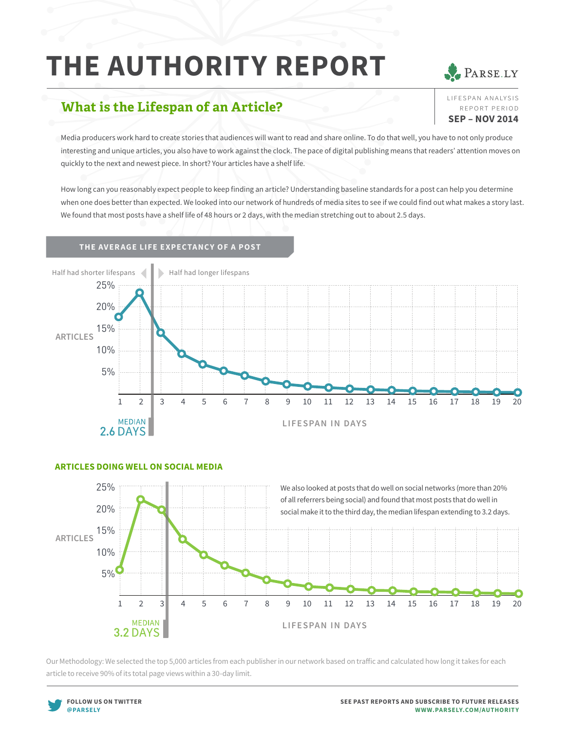# **THE AUTHORITY REPORT**

## **What is the Lifespan of an Article?**

Media producers work hard to create stories that audiences will want to read and share online. To do that well, you have to not only produce interesting and unique articles, you also have to work against the clock. The pace of digital publishing means that readers' attention moves on quickly to the next and newest piece. In short? Your articles have a shelf life.

How long can you reasonably expect people to keep finding an article? Understanding baseline standards for a post can help you determine when one does better than expected. We looked into our network of hundreds of media sites to see if we could find out what makes a story last. We found that most posts have a shelf life of 48 hours or 2 days, with the median stretching out to about 2.5 days.

### **THE AVERAGE LIFE EXPECTANCY OF A POST**



## **ARTICLES DOING WELL ON SOCIAL MEDIA**



Our Methodology: We selected the top 5,000 articles from each publisher in our network based on traffic and calculated how long it takes for each article to receive 90% of its total page views within a 30-day limit.





LIFE SPAN ANALYSIS report period **SEP – NOV 2014**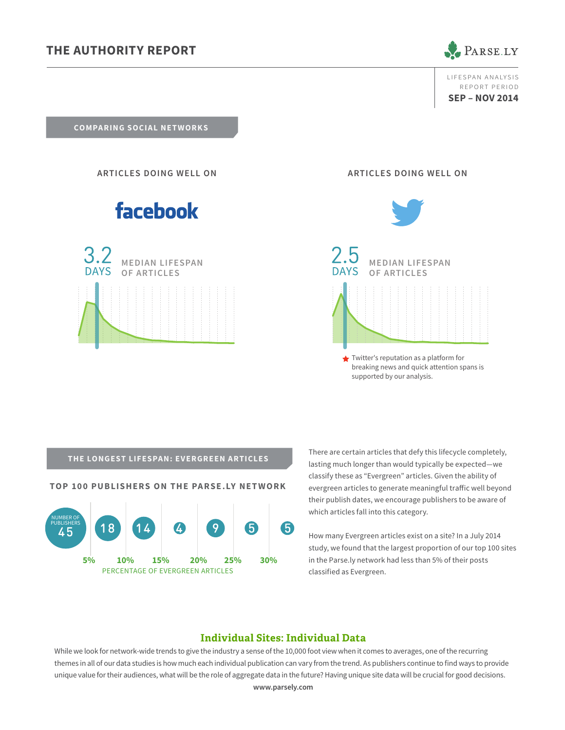## **THE AUTHORITY REPORT**



LIFE SPAN ANALYSIS report period **SEP – NOV 2014**

**COMPARING SOCIAL NETWORKS**

**ARTICLES DOING WELL ON**

## facebook



**ARTICLES DOING WELL ON**



breaking news and quick attention spans is supported by our analysis.

**TOP 100 PUBLISHERS ON THE PARSE.LY NETWORK**



There are certain articles that defy this lifecycle completely,<br> **THE LONGEST LIFESPAN: EVERGREEN ARTICLES** lasting much longer than would typically be expected—we classify these as "Evergreen" articles. Given the ability of evergreen articles to generate meaningful traffic well beyond their publish dates, we encourage publishers to be aware of which articles fall into this category.

> How many Evergreen articles exist on a site? In a July 2014 study, we found that the largest proportion of our top 100 sites in the Parse.ly network had less than 5% of their posts classified as Evergreen.

## **Individual Sites: Individual Data**

While we look for network-wide trends to give the industry a sense of the 10,000 foot view when it comes to averages, one of the recurring themes in all of our data studies is how much each individual publication can vary from the trend. As publishers continue to find ways to provide unique value for their audiences, what will be the role of aggregate data in the future? Having unique site data will be crucial for good decisions.

**www.parsely.com**